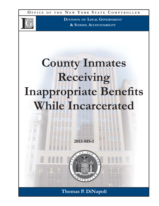**O FFICE O F THE N E W Y ORK S TATE C OMPTROLLER**



**DIVISION OF LOCAL GOVERNMENT & SCHOOL ACCOUNTABILITY**

# **County Inmates Receiving Inappropriate Benefits While Incarcerated**

**Thomas P. DiNapoli**

**2013-MS-1**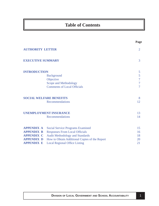# **Table of Contents**

|                          |                                               | Page           |
|--------------------------|-----------------------------------------------|----------------|
| <b>AUTHORITY LETTER</b>  |                                               | $\overline{2}$ |
| <b>EXECUTIVE SUMMARY</b> |                                               | 3              |
| <b>INTRODUCTION</b>      |                                               | 5              |
|                          | <b>Background</b>                             | 5              |
|                          | Objective                                     | 7              |
|                          | Scope and Methodology                         | 7              |
|                          | <b>Comments of Local Officials</b>            | 7              |
|                          | <b>SOCIAL WELFARE BENEFITS</b>                | 8              |
|                          | <b>Recommendations</b>                        | 12             |
|                          | <b>UNEMPLOYMENT INSURANCE</b>                 | 13             |
|                          | <b>Recommendations</b>                        | 14             |
| <b>APPENDIX A</b>        | <b>Social Service Programs Examined</b>       | 15             |
| <b>APPENDIX B</b>        | <b>Responses From Local Officials</b>         | 16             |
| <b>APPENDIX C</b>        | <b>Audit Methodology and Standards</b>        | 18             |
| <b>APPENDIX D</b>        | How to Obtain Additional Copies of the Report | 20             |
| <b>APPENDIX E</b>        | <b>Local Regional Office Listing</b>          | 21             |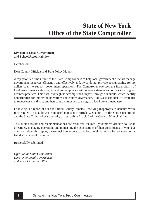#### <span id="page-2-0"></span>**Division of Local Government and School Accountability**

October 2013

Dear County Officials and State Policy Makers:

A top priority of the Office of the State Comptroller is to help local government officials manage government resources efficiently and effectively and, by so doing, provide accountability for tax dollars spent to support government operations. The Comptroller oversees the fiscal affairs of local governments statewide, as well as compliance with relevant statutes and observance of good business practices. This fiscal oversight is accomplished, in part, through our audits, which identify opportunities for improving operations and county governance. Audits also can identify strategies to reduce costs and to strengthen controls intended to safeguard local government assets.

Following is a report of our audit titled County Inmates Receiving Inappropriate Benefits While Incarcerated. This audit was conducted pursuant to Article V, Section 1 of the State Constitution and the State Comptroller's authority as set forth in Article 3 of the General Municipal Law.

This audit's results and recommendations are resources for local government officials to use in effectively managing operations and in meeting the expectations of their constituents. If you have questions about this report, please feel free to contact the local regional office for your county, as listed at the end of this report.

Respectfully submitted,

*Offi ce of the State Comptroller Division of Local Government and School Accountability*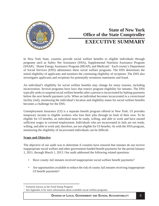<span id="page-3-0"></span>

# **State of New York Office of the State Comptroller EXECUTIVE SUMMARY**

In New York State, counties provide social welfare benefits to eligible individuals through programs such as Safety Net Assistance (SNA), Supplemental Nutrition Assistance Program (SNAP),<sup>1</sup> Home Energy Assistance Program (HEAP), and Medicaid.<sup>2</sup> Each county's Department of Social Services (DSS) administers these social welfare programs. The DSS determines the initial eligibility of applicants and monitors the continuing eligibility of recipients. The DSS also investigates applicants and recipients for potentially erroneous statements and fraud.

An individual's eligibility for social welfare benefits may change for many reasons, including incarceration. Several programs have laws that restrict program eligibility for inmates. The DSS typically seeks to suspend social welfare benefits after a person is incarcerated by halting payments before the next benefit payment cycle. When an individual becomes incarcerated in a correctional facility (Jail), monitoring the individual's location and eligibility status for social welfare benefits becomes a challenge for the DSS.

Unemployment Insurance (UI) is a separate benefit program offered in New York. UI provides temporary income to eligible workers who lose their jobs through no fault of their own. To be eligible for UI benefits, an individual must be ready, willing, and able to work and have earned sufficient wages in covered employment. Individuals who are incarcerated in Jails are not ready, willing, and able to work and, therefore, are not eligible for UI benefits. As with the SNA program, monitoring the eligibility of incarcerated individuals can be difficult.

#### **Scope and Objective**

The objective of our audit was to determine if counties have ensured that inmates do not receive inappropriate social welfare and other government-funded benefit payments for the period January 1, 2011, through March 1, 2013. Our audit addressed the following related questions:

- Have county Jail inmates received inappropriate social welfare benefit payments?
- Are opportunities available to reduce the risk of county Jail inmates receiving inappropriate UI benefit payments?

<sup>1</sup> Formerly known as the Food Stamp Program

<sup>2</sup> See Appendix A for more information about available social welfare programs.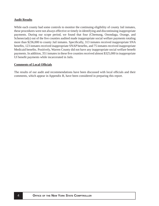#### **Audit Results**

While each county had some controls to monitor the continuing eligibility of county Jail inmates, these procedures were not always effective or timely in identifying and discontinuing inappropriate payments. During our scope period, we found that four (Chemung, Onondaga, Orange, and Schenectady) out of the five counties audited made inappropriate social welfare payments totaling more than \$236,000 to county Jail inmates. Specifically, 313 inmates received inappropriate SNA benefits, 123 inmates received inappropriate SNAP benefits, and 75 inmates received inappropriate Medicaid benefits. Positively, Warren County did not have any inappropriate social welfare benefit payments. In addition, 351 inmates in these five counties received almost \$325,000 in inappropriate UI benefit payments while incarcerated in Jails.

#### **Comments of Local Offi cials**

The results of our audit and recommendations have been discussed with local officials and their comments, which appear in Appendix B, have been considered in preparing this report.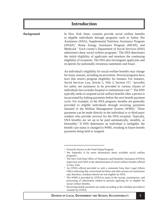# **Introduction**

<span id="page-5-0"></span>**Background**

In New York State, counties provide social welfare benefits to eligible individuals through programs such as Safety Net Assistance (SNA), Supplemental Nutrition Assistance Program (SNAP),<sup>3</sup> Home Energy Assistance Program (HEAP), and Medicaid.<sup>4</sup> Each county's Department of Social Services (DSS) administers these social welfare programs.<sup>5</sup> The DSS determines the initial eligibility of applicants and monitors the continuing eligibility of recipients. The DSS also investigates applicants and recipients for potentially erroneous statements and fraud.

> An individual's eligibility for social welfare benefits may change for many reasons, including incarceration. Several programs have laws that restrict program eligibility for inmates. For instance, Social Services Law, Article 5, Title 3, Section 157, "provides for safety net assistance to be provided to various classes of individuals but excludes hospital or institutional care."6 The DSS typically seeks to suspend social welfare benefits after a person is incarcerated by halting payments before the next benefit payment cycle. For example, in the SNA program, benefits are generally provided to eligible individuals through recurring payments initiated in the Welfare Management System (WMS).<sup>7</sup> These payments can be made directly to the individual or to third-party vendors who provide services for the SNA recipient. Typically, SNA benefits are set up to be paid automatically, monthly, or bimonthly.<sup>8</sup> If DSS determines an individual is ineligible, the benefit case status is changed in WMS, resulting in future benefit payments being held or stopped.

<sup>&</sup>lt;sup>3</sup> Formerly known as the Food Stamp Program

<sup>4</sup> See Appendix A for more information about available social welfare programs.

<sup>5</sup> The New York State Office of Temporary and Disability Assistance (OTDA) supervises each DSS in the administration of social welfare benefits offered in New York.

<sup>6</sup> An OTDA official provided us with a statement from their Legal Affairs Office indicating that correctional facilities and other prisons are institutions and, therefore, residents thereof are not eligible for SNA.

<sup>7</sup> The WMS is provided by OTDA to assist in the receipt, maintenance, and processing of information related to persons applying for or eligible for social welfare benefits.

<sup>8</sup> Recurring benefit payments are made according to the schedule provided to counties by OTDA.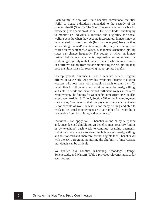Each county in New York State operates correctional facilities (Jails) to house individuals remanded to the custody of the County Sheriff (Sheriff). The Sheriff generally is responsible for overseeing the operation of the Jail. DSS often finds it challenging to monitor an individual's location and eligibility for social welfare benefits when they become incarcerated. Inmates may be incarcerated for short periods (less than one year) because they are awaiting trial and/or sentencing, or they may be serving short court-ordered sentences. As a result, an inmate's benefit eligibility status can change frequently. The county in which an inmate resided before incarceration is responsible for monitoring the continuing eligibility of that inmate. Inmates who are incarcerated in a different county from the one monitoring their eligibility may pose the highest risk for receiving inappropriate benefits.

Unemployment Insurance (UI) is a separate benefit program offered in New York. UI provides temporary income to eligible workers who lose their jobs through no fault of their own. To be eligible for UI benefits an individual must be ready, willing, and able to work and have earned sufficient wages in covered employment. The funding for UI benefits comes from taxes paid by employers. Article 18, Title 7, Section 591 of the Unemployment Law states, "no benefits shall be payable to any claimant who is not capable of work or who is not ready, willing and able to work in his usual employment or in any other for which he is reasonably fitted by training and experience."

Individuals can apply for UI benefits online or by telephone and, once deemed eligible for UI benefits, must recertify (online or by telephone) each week to continue receiving payments. Individuals who are incarcerated in Jails are not ready, willing, and able to work and, therefore, are not eligible for UI benefits. As with the SNA program, monitoring the eligibility of incarcerated individuals can be difficult.

We audited five counties (Chemung, Onondaga, Orange, Schenectady, and Warren). Table 1 provides relevant statistics for each county.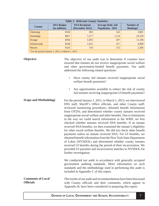<span id="page-7-0"></span>

| <b>Table 1: Relevant County Statistics</b>                    |                              |                                          |                                                       |                                           |  |  |  |
|---------------------------------------------------------------|------------------------------|------------------------------------------|-------------------------------------------------------|-------------------------------------------|--|--|--|
| <b>County</b>                                                 | 2012 Budget<br>(in millions) | <b>SNA Recipients</b><br>(December 2012) | <b>Average Daily Jail</b><br><b>Population - 2011</b> | Number of<br><b>Bookings</b> <sup>a</sup> |  |  |  |
| Chemung                                                       | \$166                        | 583                                      | 162                                                   | 3,801                                     |  |  |  |
| Onondaga                                                      | \$827                        | 7,217                                    | 1,114                                                 | 23,529                                    |  |  |  |
| Orange                                                        | \$366                        | 3,303                                    | 587                                                   | 11,100                                    |  |  |  |
| Schenectady                                                   | \$248                        | 1,631                                    | 317                                                   | 4,960                                     |  |  |  |
| Warren                                                        | \$145                        | 134                                      | 152                                                   | 2,506                                     |  |  |  |
| <sup>a</sup> For the period January 1, 2011, to March 1, 2013 |                              |                                          |                                                       |                                           |  |  |  |

**Objective** The objective of our audit was to determine if counties have ensured that inmates do not receive inappropriate social welfare and other government-funded benefit payments. Our audit addressed the following related questions:

- Have county Jail inmates received inappropriate social welfare benefit payments?
- Are opportunities available to reduce the risk of county Jail inmates receiving inappropriate UI benefit payments?
- **Scope and Methodology** For the period January 1, 2011, to March 1, 2013, we interviewed DSS staff, Sheriff's Office officials, and other County staff; reviewed monitoring procedures; obtained benefit information from OTDA; and determined whether county inmates received inappropriate social welfare and other benefits. Due to limitations in the way we could search information in the WMS, we first checked whether inmates received SNA benefits. If an inmate received SNA benefits, we then examined the inmate's eligibility for other social welfare benefits. We did not check other benefit payments unless an inmate received SNA. For UI benefits, we obtained benefit information from the New York State Department of Labor (NYSDOL) and determined whether county inmates received UI benefits during the period of their incarceration. We provided UI payment and incarceration matches to NYSDOL for further investigation. We conducted our audit in accordance with generally accepted government auditing standards. More information on such standards and the methodology used in performing this audit is included in Appendix C of this report. The results of our audit and recommendations have been discussed with County officials and their comments, which appear in **Comments of Local Offi cials**

Appendix B, have been considered in preparing this report.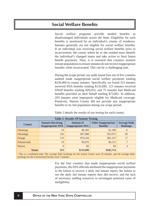# <span id="page-8-0"></span>**Social Welfare Benefits**

Social welfare programs provide needed benefits to disadvantaged individuals across the State. Eligibility for such benefits is monitored by an individual's county of residence. Inmates generally are not eligible for social welfare benefits. If an individual was receiving social welfare benefits prior to incarceration, the county where he or she resided must identify the individual's changed status and take action to limit future benefit payments. Thus, it is essential that counties monitor inmate populations to ensure inmates do not receive inappropriate benefits while incarcerated. This can be a challenging task.

During the scope period, our audit found four out of five counties audited made inappropriate social welfare payments totaling \$236,404 to county inmates. Specifically, we found 313 inmates received SNA benefits totaling \$133,690, 123 inmates received SNAP benefits totaling \$29,653, and 75 inmates had Medicaid benefits provided on their behalf totaling \$73,061. In addition, 203 inmates were improperly eligible for Medicaid coverage. Positively, Warren County did not provide any inappropriate benefits to its Jail population during our scope period.

| <b>Table 2: Results Of Inmate Testing</b> |                                                      |                                              |                                               |                                         |  |  |  |
|-------------------------------------------|------------------------------------------------------|----------------------------------------------|-----------------------------------------------|-----------------------------------------|--|--|--|
| <b>County</b>                             | <b>Inmates Receiving</b><br><b>Inappropriate SNA</b> | <b>Amount of</b><br><b>Inappropriate SNA</b> | <b>Other Inappropriate</b><br><b>Benefits</b> | <b>Average Daily</b><br><b>Bookings</b> |  |  |  |
| Chemung                                   | 19                                                   | \$6,382                                      | \$1,380                                       | 6                                       |  |  |  |
| Onondaga                                  | 142                                                  | \$47,988                                     | \$33,975                                      | 36 <sup>a</sup>                         |  |  |  |
| Orange                                    | 133                                                  | \$70,244                                     | \$61,147                                      | 17                                      |  |  |  |
| Schenectady                               | 19                                                   | \$9,076                                      | \$6,212                                       | $\overline{7}$                          |  |  |  |
| Warren                                    | $\Omega$                                             | \$0                                          | \$0                                           | 4                                       |  |  |  |
| <b>Totals</b>                             | 313                                                  | \$133,690                                    | \$102,714                                     |                                         |  |  |  |

<sup>a</sup> This is a combined total. The average daily bookings for the Justice Center were 29 inmates, and the average daily bookings for the Correctional Facility were 7 inmates.

> For the four counties that made inappropriate social welfare payments, the DSS officials attributed the inappropriate payments to the failure to receive a daily Jail inmate report, the failure to use the daily Jail inmate reports they did receive, and the lack of necessary staffing resources to investigate potential cases of ineligibility.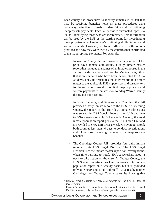Each county had procedures to identify inmates in its Jail that may be receiving benefits; however, these procedures were not always effective or timely in identifying and discontinuing inappropriate payments. Each Jail provides automated reports to its DSS identifying those who are incarcerated. This information can be used by the DSS as the starting point for investigating the appropriateness of an inmate's continuing eligibility for social welfare benefits. However, we found differences in the reports provided and how they were used by the counties that contributed to the inappropriate payments. For example:

- In Warren County, the Jail provided a daily report of the prior day's inmate admissions, a daily inmate master report that included the names of all inmates housed in the Jail for the day, and a report used for Medicaid eligibility<sup>9</sup> that shows inmates who have been incarcerated for 31 to 38 days. The Jail distributes the daily reports in a timely matter to the applicable DSS supervisors and caseworkers for investigation. We did not find inappropriate social welfare payments to inmates monitored by Warren County during our audit testing.
- In both Chemung and Schenectady Counties, the Jail provides a daily inmate report to the DSS. At Chemung County, the report of the prior day's inmate admissions was sent to the DSS Special Investigation Unit and then to SNA caseworkers. In Schenectady County, the total inmate population report goes to the DSS Fraud Unit and is provided to SNA staff twice a week. On average, it took both counties less than 40 days to conduct investigations and close cases, ceasing payments for inappropriate benefits.
- The Onondaga County Jail<sup>10</sup> provides four daily inmate reports to its DSS Legal Division. The DSS Legal Division uses the inmate master report for investigations, when time permits, to notify SNA caseworkers about a need to take action on the case. At Orange County, the DSS Special Investigations Unit receives a total inmate population report on a weekly basis, but it is provided only to SNAP and Medicaid staff. As a result, neither Onondaga nor Orange County starts its investigative

<sup>9</sup> Inmates remain eligible for Medicaid benefits for the first 30 days of incarceration.<br><sup>10</sup> Onondaga County has two facilities, the Justice Center and the Correctional

Facility; however, only the Justice Center provided inmate reports.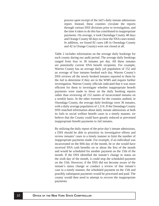process upon receipt of the Jail's daily inmate admissions report. Instead, these counties circulate the reports through various DSS divisions prior to investigation, and the time it takes to do this has contributed to inappropriate payments. On average, it took Onondaga County 48 days and Orange County 60 days to close the SNA cases tested. In addition, we found 82 cases (40 in Onondaga County and 42 in Orange County) were not closed at all.

Table 2 includes information on the average daily bookings for each county during our audit period. The average daily bookings ranged from four to 36 inmates per day. All these inmates are potentially current SNA benefit recipients. For example, Warren County has an average daily jail population of 152 and an average of four inmates booked each day. Warren County's DSS reviews all the newly booked inmates reported to them by the Jail to determine if they are in the WMS and require further investigation. Warren County officials indicated that it was more efficient for them to investigate whether inappropriate benefit payments were made to those on the daily booking reports rather than reviewing all 152 names of incarcerated inmates on a weekly basis. At the other extreme for the counties audited, in Onondaga County, the average daily bookings were 36 inmates, with a daily average population of 1,114. If the Onondaga County DSS matched information about daily inmate admissions at both its Jails to social welfare benefit cases in a timely manner, we believe that the County could have greatly reduced or prevented inappropriate benefit payments to Jail inmates.

By utilizing the daily report of the prior day's inmate admissions, a DSS should be able to prioritize its investigative efforts and review inmates' cases in a timely manner to limit the number of inappropriate payments made. For example, if an individual was incarcerated on the fifth day of the month, he or she would have received SNA cash benefits on or about the first of the month and would be scheduled for another payment on the 15th of the month. If the DSS identified the inmate's change in status on the sixth day of the month, it could stop the scheduled payment on the 15th. However, if the DSS did not become aware of the inmate's status change or conduct a review of that inmate's case in a timely manner, the scheduled payment on the 15th and possibly subsequent payments would be processed and paid. The county would then need to attempt to recover the inappropriate payments.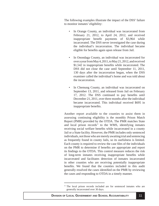The following examples illustrate the impact of the DSS' failure to monitor inmates' eligibility:

- In Orange County, an individual was incarcerated from February 21, 2012, to April 24, 2012, and received inappropriate benefit payments of \$3,964 while incarcerated. The DSS never investigated the case during the individual's incarceration. The individual became eligible for benefits again upon release from Jail.
- In Onondaga County, an individual was incarcerated for over a year from May 4, 2011, to May 21, 2012, and received  $$1,542$  in inappropriate benefits while incarcerated. The DSS did not close the case until September 11, 2011, 130 days after the incarceration began, when the DSS examiner called the individual's home and was told about the incarceration.
- In Chemung County, an individual was incarcerated on September 13, 2011, and released from Jail on February 17, 2012. The DSS continued to pay benefits until December 21, 2011, over three months after the individual became incarcerated. This individual received \$695 in inappropriate benefits.

Another report available to the counties to assist them in assessing continuing eligibility is the monthly Prison Match Report (PMR) provided by the OTDA. The PMR matches State and local prison records<sup>11</sup> to the WMS, identifying inmates receiving social welfare benefits while incarcerated in a county Jail or a State facility. However, the PMR includes only sentenced individuals, not those who are merely awaiting trial and sentencing as frequently found in county Jails, so its usefulness is limited. Each county is required to review the case files of the individuals on the PMR to determine if benefits are appropriate and report its findings to the OTDA. This control measure reduces the risk of long-term inmates receiving inappropriate benefits while incarcerated and facilitates detection of inmates incarcerated in other counties who are receiving potentially inappropriate benefits. We found that the counties included in this audit generally resolved the cases identified on the PMR by reviewing the cases and responding to OTDA in a timely manner.

<sup>&</sup>lt;sup>11</sup> The local prison records included are for sentenced inmates who are generally incarcerated over 30 days.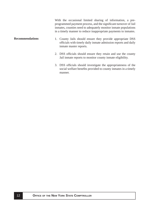<span id="page-12-0"></span>With the occasional limited sharing of information, a preprogrammed payment process, and the significant turnover of Jail inmates, counties need to adequately monitor inmate populations in a timely manner to reduce inappropriate payments to inmates. 1. County Jails should ensure they provide appropriate DSS officials with timely daily inmate admission reports and daily inmate master reports. **Recommendations**

- 2. DSS officials should ensure they retain and use the county Jail inmate reports to monitor county inmate eligibility.
- 3. DSS officials should investigate the appropriateness of the social welfare benefits provided to county inmates in a timely manner.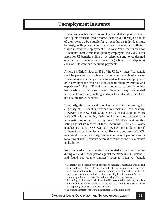## <span id="page-13-0"></span>**Unemployment Insurance**

Unemployment Insurance is a weekly benefit of temporary income for eligible workers who become unemployed through no fault of their own. To be eligible for UI benefits, an individual must be ready, willing, and able to work and have earned sufficient wages in covered employment.<sup>12</sup> In New York, the funding for UI benefits comes from taxes paid by employers. Individuals can apply for UI benefits online or by telephone and, once deemed eligible for UI benefits, must recertify (online or by telephone) each week to continue receiving payments.

Article 18, Title 7, Section 591 of the UI Law states, "no benefit shall be payable to any claimant who is not capable of work or who is not ready, willing and able to work in his usual employment or in any other for which he is reasonably fitted by training and experience." Each UI claimant is required to certify to his/ her capability to work each week. Generally, any incarcerated individual is not ready, willing, and able to work and is, therefore, not eligible for UI benefits.

Statutorily, the counties do not have a role in monitoring the eligibility of UI benefits provided to inmates in their custody. However, the New York State Sheriffs' Association provides NYSDOL with a monthly listing of Jail inmates obtained from information submitted by county Jails.<sup>13</sup> NYSDOL matches this listing against its records of those receiving UI benefits. When matches are found, NYSDOL staff review them to determine if UI benefits should be discontinued. However, because NYSDOL receives this listing monthly, it often continues to pay inmates up to four weeks of UI benefits before it becomes aware of claimants' ineligibility.

We compared all Jail inmates incarcerated in the five counties during our audit scope period against the NYSDOL UI database and found  $351$  county inmates<sup>14</sup> received 1,321 UI benefit

 $12$  Generally, to be eligible for UI benefits, an individual must have worked and been paid wages for employment in at least two calendar quarters in their base period and must have met earning requirements. Once deemed eligible for UI benefits, an individual receives a weekly benefit amount. See www. labor.ny.gov for a complete discussion of eligibility requirements. 13 According to the New York State Sheriffs' Association website, this data

is collected in almost real-time and stored at a central location to allow participating agencies to perform searches.<br><sup>14</sup> Excluding inmates who were incarcerated less than five days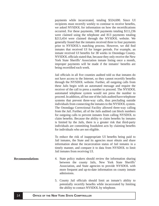<span id="page-14-0"></span>payments while incarcerated, totaling \$324,690. Since UI recipients must recertify weekly to continue to receive benefits, we asked NYSDOL for information on how the recertifications occurred. For these payments, 508 payments totaling \$111,236 were claimed using the telephone and 813 payments totaling \$213,454 were claimed through the NYSDOL website. We generally found that the inmates received three to four payments prior to NYSDOL's matching process. However, we did find inmates that received UI for longer periods. For example, an inmate received UI benefits for 38 weeks in Onondaga County. NYSDOL officials stated that, because they only receive the New York State Sheriffs' Association inmate listing once a month, improper payments will be made if the inmates' benefits are being recertified each week.

Jail officials in all five counties audited told us that inmates do not have access to the Internet, so they cannot recertify benefits through the NYSDOL website. Further, all outgoing calls from these Jails begin with an automated message and require the receiver of the call to press a number to proceed. The NYSDOL automated telephone system would not press the number to proceed. In addition, all but one of the Jails audited have telephone systems that prevent three-way calls, thus precluding outside individuals from connecting the inmates to the NYSDOL system. The Onondaga Correctional Facility allowed three-way calling from the Jail. Further, all of the Jails audited can block numbers for outgoing calls to prevent inmates from calling NYSDOL to claim benefits. Because the ability to claim benefits by inmates is limited by the Jails, there is a greater risk that third-party individuals are committing fraudulent acts by claiming benefits for individuals who are not eligible.

To reduce the risk of inappropriate UI benefits being paid to Jail inmates, the State and its agencies must obtain and share information about the incarceration status of Jail inmates in a timely manner, and compare it to data from NYSDOL to limit Jail inmates from receiving UI.

- 4. State policy makers should review the information sharing between the county Jails, New York State Sheriffs' Association, and State agencies to provide NYSDOL with more frequent and up-to-date information on county inmate admissions. **Recommendations** 
	- 5. County Jail officials should limit an inmate's ability to potentially recertify benefits while incarcerated by limiting the ability to contact NYSDOL by telephone.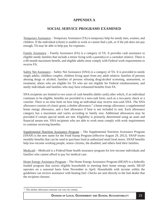### **APPENDIX A**

#### **SOCIAL SERVICE PROGRAMS EXAMINED**

<span id="page-15-0"></span>Temporary Assistance – Temporary Assistance (TA) is temporary help for needy men, women, and children. If the individual (client) is unable to work or cannot find a job, or if the job does not pay enough, TA may be able to help pay for expenses.

Family Assistance – Family Assistance (FA) is a category of TA. It provides cash assistance to eligible needy families that include a minor living with a parent(s) or a caretaker relative. There is a 60-month maximum benefit, and eligible adults must comply with Federal work requirements to receive FA.

Safety Net Assistance – Safety Net Assistance (SNA) is a category of TA. It is provided to needy single adults; childless couples; children living apart from any adult relative; families of persons abusing drugs or alcohol; families of persons refusing drug/alcohol screening, assessment, or treatment; aliens who are eligible for TA who are not eligible for Federal reimbursement; and needy individuals and families who may have exhausted benefits from FA.

SNA recipients are limited to two years of cash benefits (debit cards) after which, if an individual continues to be eligible, benefits are provided in a non-cash form, such as a two-party check or a voucher. There is no time limit on how long an individual may receive non-cash SNA. The SNA allowance consists of a basic grant, a shelter allowance,<sup>15</sup> a home energy allowance, a supplemental home energy allowance, and a fuel allowance if heat is not included in rent. Each allowance category has a maximum and varies according to family size. Additional allowances may be provided if certain special needs are met. Eligibility is primarily determined using an asset and financial means test. SNA recipients who are able to work must comply with work requirements to continue receiving benefits.

Supplemental Nutrition Assistance Program – The Supplemental Nutrition Assistance Program (SNAP) is the new name for the Food Stamp Program (effective August 29, 2012). SNAP issues monthly benefits that can be used to purchase food at authorized retail food stores. SNAP benefits help low-income working people, senior citizens, the disabled, and others feed their families.

Medicaid – Medicaid is a Federal/State health insurance program for low-income individuals and families who cannot afford to pay for medical care.

Home Energy Assistance Program – The Home Energy Assistance Program (HEAP) is a federally funded program that assists eligible households in meeting their home energy needs. HEAP operates on a seasonal basis from November to April. Households with income within the guidelines can receive assistance with heating fuel. Checks are sent directly to the fuel dealer that the recipient chooses.

<sup>&</sup>lt;sup>15</sup> The shelter allowance amount can vary by county.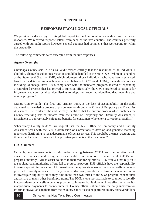#### **APPENDIX B**

#### **RESPONSES FROM LOCAL OFFICIALS**

<span id="page-16-0"></span>We provided a draft copy of this global report to the five counties we audited and requested responses. We received response letters from each of the five counties. The counties generally agreed with our audit report; however, several counties had comments that we respond to within this Appendix.

The following comments were excerpted from the five responses.

#### **Agency Oversight**

Onondaga County said: "The OSC audit misses entirely that the resolution of an individual's eligibility change based on incarceration should be handled at the State level. Where it is handled at the State level (i.e., the PMR, which addressed those individuals who have been sentenced, based on the data sharing which has occurred between DOCCS and OTDA), the audited counties, including Onondaga, have 100% compliance with the mandated program. Instead of expanding a centralized process that has proved to function effectively, the OSC's preferred solution is for fifty-seven separate social service districts to adopt their own, individualized data matching and review program."

Orange County said: "The first, and primary point, is the lack of accountability in the audit dedicated to the existing process of prison matches through the Office of Temporary and Disability Assistance. The results of the audit clearly identified that the current process which includes the County receiving lists of inmates from the Office of Temporary and Disability Assistance, is insufficient to appropriately safeguard benefits for consumers who enter a correctional facility."

Schenectady County said: "...we request that the NYS Office of Temporary and Disability Assistance work with the NYS Commission of Corrections to develop and generate matching reports for distributing to local departments of social services. This would be the most accurate and timely mechanism to prevent all inappropriate payments at the local level."

#### **OSC Comment**

Certainly, any improvements in information sharing between OTDA and the counties would assist the counties in addressing the issues identified in this report. However, while OTDA does prepare a monthly PMR to assist counties in their monitoring efforts, DSS officials that rely on it to supplant local monitoring efforts fail to protect taxpayers. DSS officials have the responsibility to take steps within their control to investigate the appropriateness of the social welfare benefits provided to county inmates in a timely manner. Moreover, counties also have a financial incentive to investigate eligibility since they fund more than two-thirds of the SNA program expenditures and a share of many other benefit programs. The PMR is one tool available to counties to identify inappropriate social welfare benefits provided to inmates, but it alone will not effectively monitor inappropriate payments to county inmates. County officials should use the daily incarceration information available to them from their County's facilities to help protect county taxpayer dollars.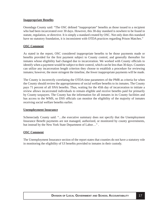#### **Inappropriate Benefits**

Onondaga County said: "The OSC defined "inappropriate" benefits as those issued to a recipient who had been incarcerated over 30 days. However, this 30-day standard is nowhere to be found in statute, regulation, or directive. It is simply a standard created by OSC. Not only does this standard have no statutory foundation, it is inconsistent with OTDA practices regarding Prison Matches."

#### **OSC Comment**

As stated in the report, OSC considered inappropriate benefits to be those payments made or benefits provided for the first payment subject to County control, and generally thereafter for inmates whose eligibility had changed due to incarceration. We worked with County officials to identify when a payment would be subject to their control, which can be less than 30 days. Counties can utilize any incarceration length criterion they choose to establish a procedure for reviewing inmates; however, the more stringent the timeline, the fewer inappropriate payments will be made.

The County is incorrectly correlating the OTDA time parameters of the PMR as criteria for when the County should review the appropriateness of social welfare benefits to its inmates. The County pays 71 percent of all SNA benefits. Thus, waiting for the 45th day of incarceration to initiate a review allows incarcerated individuals to remain eligible and receive benefits paid for primarily by County taxpayers. The County has the information for all inmates in its County facilities and has access to the WMS, so DSS officials can monitor the eligibility of the majority of inmates receiving social welfare benefits earlier.

#### **Unemployment Insurance**

Schenectady County said: "…the executive summary does not specify that the Unemployment Insurance Benefit payments are not managed, authorized, or monitored by county governments, but instead by the New York State Department of Labor…" .

#### **OSC Comment**

The Unemployment Insurance section of the report states that counties do not have a statutory role in monitoring the eligibility of UI benefits provided to inmates in their custody.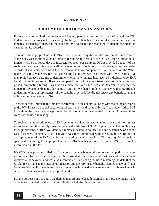#### **APPENDIX C**

#### **AUDIT METHODOLOGY AND STANDARDS**

<span id="page-18-0"></span>For each county audited, we interviewed County personnel in the Sheriff's Office and the DSS to determine if a process for reviewing eligibility for benefits exists and if information regarding inmates is exchanged between the Jail and DSS to enable the matching of benefit recipients to current inmate records.

To review the appropriateness of SNA benefits provided by the counties for inmates incarcerated at the Jails, we submitted a list of inmates for the scope period to the OTDA (after eliminating all inmates with 30 or fewer days of incarceration from our sample). OTDA provided a report of the social welfare benefits history for all inmates submitted. Social security numbers, names, and dates of birth, if available, were used for the comparison. We compared all Jail inmates on the WMS report who received SNA for the scope period and reviewed each case with DSS records. We then reviewed each case file to determine whether any inmates had received individual case SNA benefits when incarcerated. If so, we compared the SNA payment issue dates to the incarceration period, eliminating timing issues. If an inmate received SNA, we also determined whether the inmate received other benefits during incarceration. We then completed a review with DSS officials to determine the appropriateness of the benefits provided. We did not check any benefit payments unless an inmate received SNA.

The testing was limited to the inmates incarcerated in the county Jail only, with matching of records to the WMS based on social security numbers, names, and dates of birth, if available. Other DSS throughout the State may have provided benefits to inmates incarcerated in the Jail; however, these were not included in testing.

To review the appropriateness of SNA benefits provided by each county in our audit to inmates incarcerated in other county Jails, we received a file from OTDA of prison matches for January through November 2012. We identified inmates located in county Jails and whether SNA benefit case files were matched. If so, a review was then completed with the DSS to determine the appropriateness of the SNA benefits and any other benefits provided. This testing did not include specifically auditing the appropriateness of SNA benefits provided by other DSS for inmates incarcerated in the Jail.

NYSDOL was provided a listing of all county inmates booked during our scope period that were incarcerated for more than 5 days and they provided us a listing of all instances where an inmate received a UI payment and was also incarcerated. Our testing included matching the date that the UI claim was made to the incarceration period and identifying any benefits claimed that would have been provided while incarcerated. We excluded any inmate that was sentenced to only weekends in Jail, as UI benefits would be appropriate in those cases.

For the purposes of this audit, we defined inappropriate benefit payments as those payments made or benefits provided for the first controllable period after incarceration.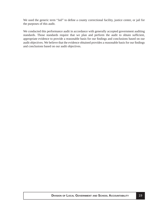We used the generic term "Jail" to define a county correctional facility, justice center, or jail for the purposes of this audit.

We conducted this performance audit in accordance with generally accepted government auditing standards. Those standards require that we plan and perform the audit to obtain sufficient, appropriate evidence to provide a reasonable basis for our findings and conclusions based on our audit objectives. We believe that the evidence obtained provides a reasonable basis for our findings and conclusions based on our audit objectives.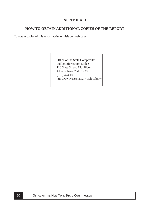#### **APPENDIX D**

#### <span id="page-20-0"></span>**HOW TO OBTAIN ADDITIONAL COPIES OF THE REPORT**

To obtain copies of this report, write or visit our web page:

Office of the State Comptroller Public Information Office 110 State Street, 15th Floor Albany, New York 12236 (518) 474-4015 http://www.osc.state.ny.us/localgov/